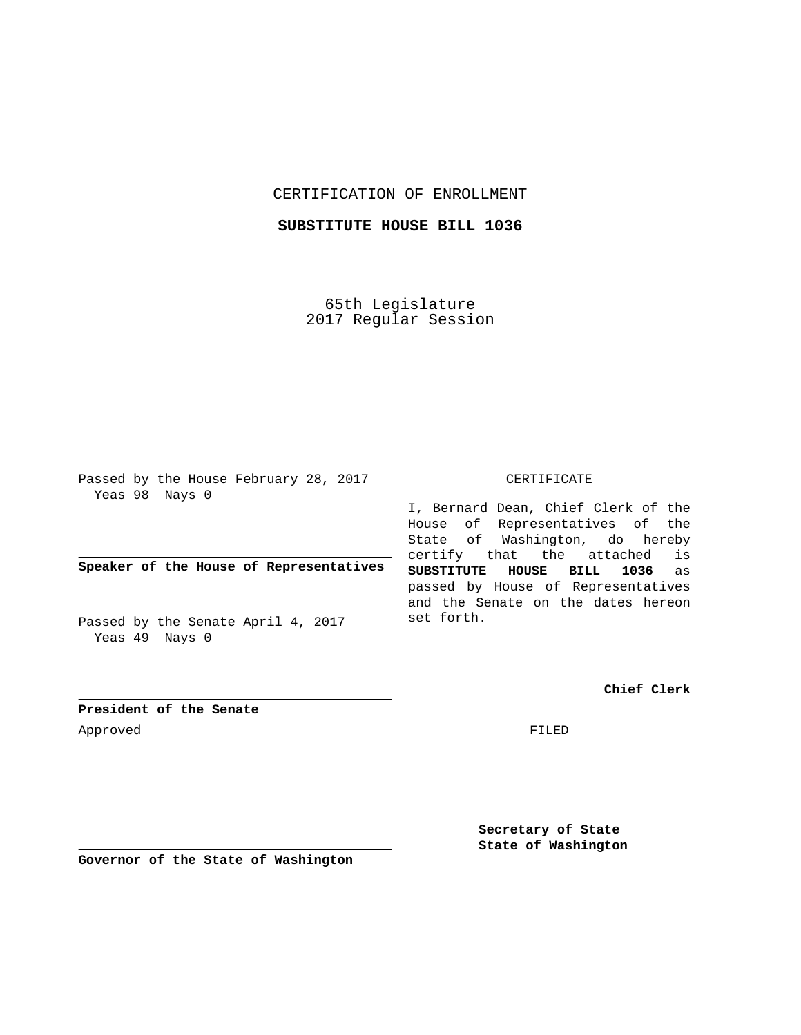## CERTIFICATION OF ENROLLMENT

## **SUBSTITUTE HOUSE BILL 1036**

65th Legislature 2017 Regular Session

Passed by the House February 28, 2017 Yeas 98 Nays 0

**Speaker of the House of Representatives**

Passed by the Senate April 4, 2017 Yeas 49 Nays 0

## CERTIFICATE

I, Bernard Dean, Chief Clerk of the House of Representatives of the State of Washington, do hereby certify that the attached is **SUBSTITUTE HOUSE BILL 1036** as passed by House of Representatives and the Senate on the dates hereon set forth.

**Chief Clerk**

**President of the Senate** Approved FILED

**Secretary of State State of Washington**

**Governor of the State of Washington**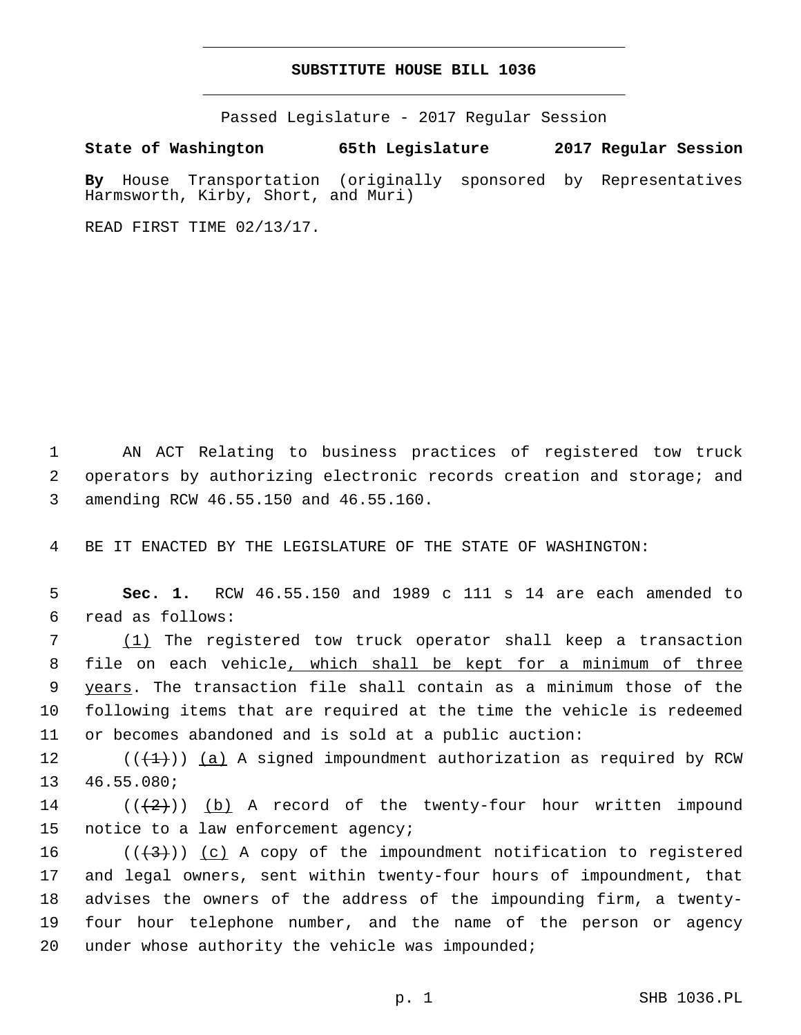## **SUBSTITUTE HOUSE BILL 1036**

Passed Legislature - 2017 Regular Session

**State of Washington 65th Legislature 2017 Regular Session By** House Transportation (originally sponsored by Representatives Harmsworth, Kirby, Short, and Muri)

READ FIRST TIME 02/13/17.

1 AN ACT Relating to business practices of registered tow truck 2 operators by authorizing electronic records creation and storage; and amending RCW 46.55.150 and 46.55.160.3

4 BE IT ENACTED BY THE LEGISLATURE OF THE STATE OF WASHINGTON:

5 **Sec. 1.** RCW 46.55.150 and 1989 c 111 s 14 are each amended to read as follows:6

 (1) The registered tow truck operator shall keep a transaction file on each vehicle, which shall be kept for a minimum of three 9 years. The transaction file shall contain as a minimum those of the following items that are required at the time the vehicle is redeemed or becomes abandoned and is sold at a public auction:

12  $((+1))$   $(a)$  A signed impoundment authorization as required by RCW 13 46.55.080;

14 ( $(\frac{1}{2})$ ) (b) A record of the twenty-four hour written impound 15 notice to a law enforcement agency;

16 ( $(\frac{4}{3})$ ) (c) A copy of the impoundment notification to registered 17 and legal owners, sent within twenty-four hours of impoundment, that 18 advises the owners of the address of the impounding firm, a twenty-19 four hour telephone number, and the name of the person or agency 20 under whose authority the vehicle was impounded;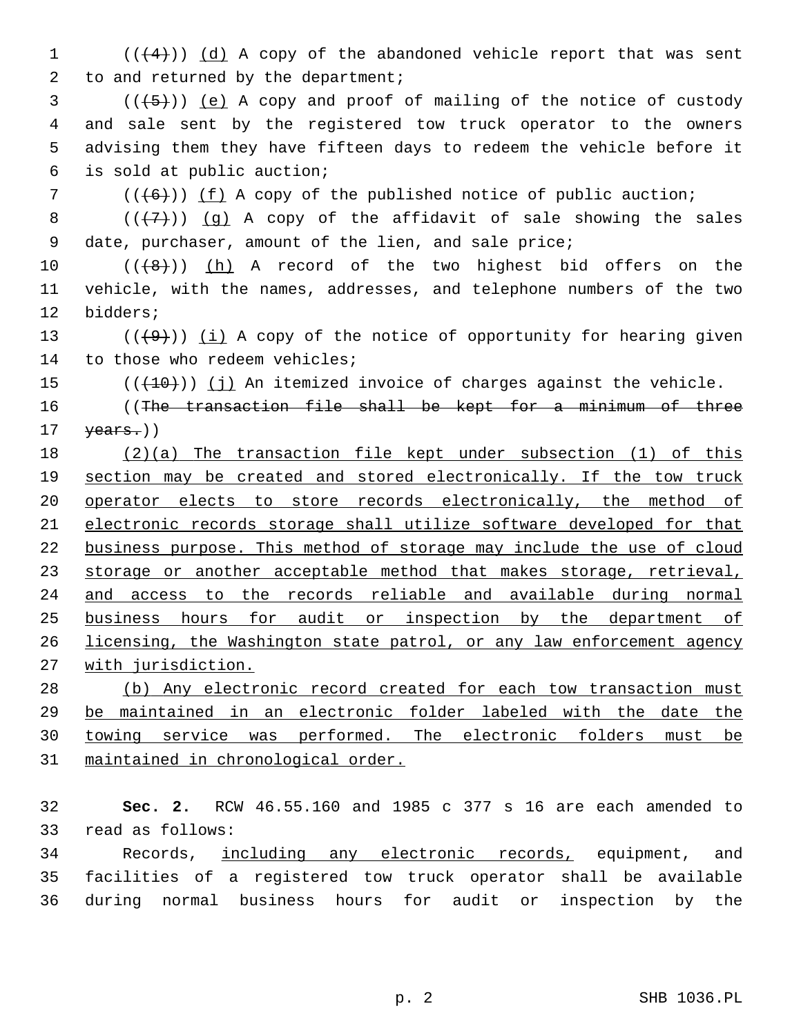(( $(4)$ )) (d) A copy of the abandoned vehicle report that was sent 2 to and returned by the department;

 ( $(\overline{+5})$ ) (e) A copy and proof of mailing of the notice of custody and sale sent by the registered tow truck operator to the owners advising them they have fifteen days to redeem the vehicle before it is sold at public auction;6

( $(\overline{6})$ ) (f) A copy of the published notice of public auction;

8  $((+7)$ ) (g) A copy of the affidavit of sale showing the sales date, purchaser, amount of the lien, and sale price;

10  $((+8+))$   $(h)$  A record of the two highest bid offers on the vehicle, with the names, addresses, and telephone numbers of the two 12 bidders;

13  $((+9))$  (i) A copy of the notice of opportunity for hearing given 14 to those who redeem vehicles;

(( $(10)$ )) (j) An itemized invoice of charges against the vehicle.

16 (The transaction file shall be kept for a minimum of three  $\text{years.}$ ))

 (2)(a) The transaction file kept under subsection (1) of this section may be created and stored electronically. If the tow truck operator elects to store records electronically, the method of electronic records storage shall utilize software developed for that business purpose. This method of storage may include the use of cloud 23 storage or another acceptable method that makes storage, retrieval, and access to the records reliable and available during normal business hours for audit or inspection by the department of licensing, the Washington state patrol, or any law enforcement agency with jurisdiction.

 (b) Any electronic record created for each tow transaction must be maintained in an electronic folder labeled with the date the towing service was performed. The electronic folders must be maintained in chronological order.

 **Sec. 2.** RCW 46.55.160 and 1985 c 377 s 16 are each amended to 33 read as follows:

 Records, including any electronic records, equipment, and facilities of a registered tow truck operator shall be available during normal business hours for audit or inspection by the